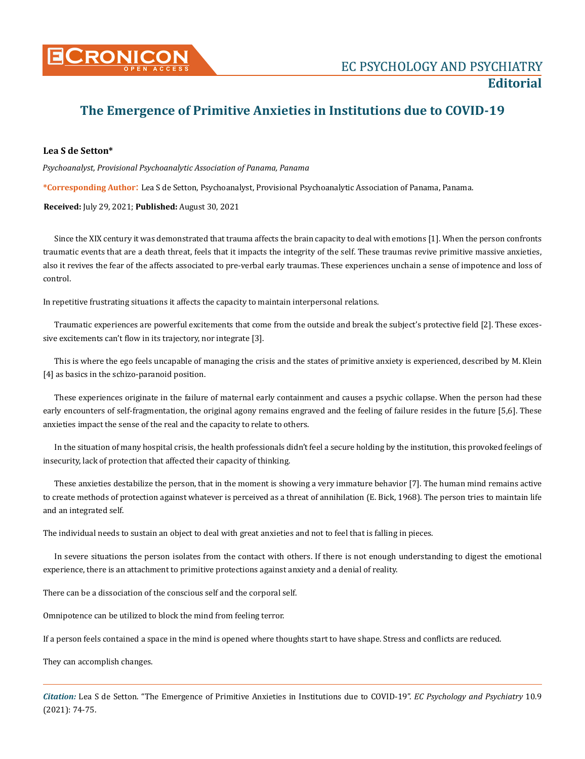

## **The Emergence of Primitive Anxieties in Institutions due to COVID-19**

## **Lea S de Setton\***

*Psychoanalyst, Provisional Psychoanalytic Association of Panama, Panama*

**\*Corresponding Author**: Lea S de Setton, Psychoanalyst, Provisional Psychoanalytic Association of Panama, Panama.

**Received:** July 29, 2021; **Published:** August 30, 2021

Since the XIX century it was demonstrated that trauma affects the brain capacity to deal with emotions [1]. When the person confronts traumatic events that are a death threat, feels that it impacts the integrity of the self. These traumas revive primitive massive anxieties, also it revives the fear of the affects associated to pre-verbal early traumas. These experiences unchain a sense of impotence and loss of control.

In repetitive frustrating situations it affects the capacity to maintain interpersonal relations.

Traumatic experiences are powerful excitements that come from the outside and break the subject's protective field [2]. These excessive excitements can't flow in its trajectory, nor integrate [3].

This is where the ego feels uncapable of managing the crisis and the states of primitive anxiety is experienced, described by M. Klein [4] as basics in the schizo-paranoid position.

These experiences originate in the failure of maternal early containment and causes a psychic collapse. When the person had these early encounters of self-fragmentation, the original agony remains engraved and the feeling of failure resides in the future [5,6]. These anxieties impact the sense of the real and the capacity to relate to others.

In the situation of many hospital crisis, the health professionals didn't feel a secure holding by the institution, this provoked feelings of insecurity, lack of protection that affected their capacity of thinking.

These anxieties destabilize the person, that in the moment is showing a very immature behavior [7]. The human mind remains active to create methods of protection against whatever is perceived as a threat of annihilation (E. Bick, 1968). The person tries to maintain life and an integrated self.

The individual needs to sustain an object to deal with great anxieties and not to feel that is falling in pieces.

In severe situations the person isolates from the contact with others. If there is not enough understanding to digest the emotional experience, there is an attachment to primitive protections against anxiety and a denial of reality.

There can be a dissociation of the conscious self and the corporal self.

Omnipotence can be utilized to block the mind from feeling terror.

If a person feels contained a space in the mind is opened where thoughts start to have shape. Stress and conflicts are reduced.

They can accomplish changes.

*Citation:* Lea S de Setton. "The Emergence of Primitive Anxieties in Institutions due to COVID-19". *EC Psychology and Psychiatry* 10.9 (2021): 74-75.